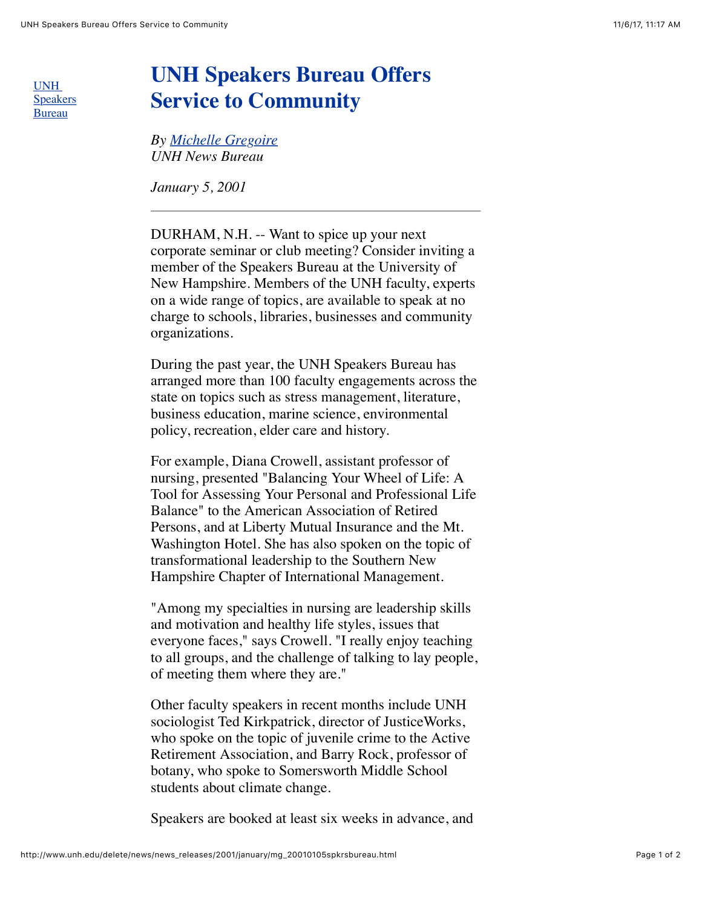UNH [Speakers](http://www.unh.edu/ppe/Speakersbureau/index.htm) Bureau

## **UNH Speakers Bureau Offers Service to Community**

*By [Michelle Gregoire](mailto:gregoire@cisunix@unh.edu) UNH News Bureau*

*January 5, 2001*

DURHAM, N.H. -- Want to spice up your next corporate seminar or club meeting? Consider inviting a member of the Speakers Bureau at the University of New Hampshire. Members of the UNH faculty, experts on a wide range of topics, are available to speak at no charge to schools, libraries, businesses and community organizations.

During the past year, the UNH Speakers Bureau has arranged more than 100 faculty engagements across the state on topics such as stress management, literature, business education, marine science, environmental policy, recreation, elder care and history.

For example, Diana Crowell, assistant professor of nursing, presented "Balancing Your Wheel of Life: A Tool for Assessing Your Personal and Professional Life Balance" to the American Association of Retired Persons, and at Liberty Mutual Insurance and the Mt. Washington Hotel. She has also spoken on the topic of transformational leadership to the Southern New Hampshire Chapter of International Management.

"Among my specialties in nursing are leadership skills and motivation and healthy life styles, issues that everyone faces," says Crowell. "I really enjoy teaching to all groups, and the challenge of talking to lay people, of meeting them where they are."

Other faculty speakers in recent months include UNH sociologist Ted Kirkpatrick, director of JusticeWorks, who spoke on the topic of juvenile crime to the Active Retirement Association, and Barry Rock, professor of botany, who spoke to Somersworth Middle School students about climate change.

Speakers are booked at least six weeks in advance, and